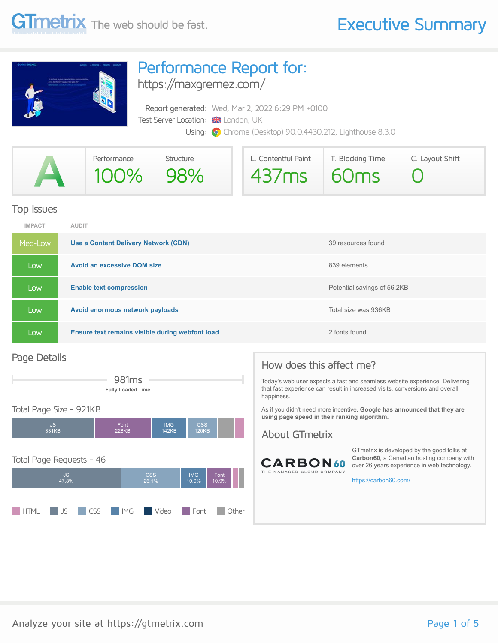

## Performance Report for:

<https://maxgremez.com/>

Report generated: Wed, Mar 2, 2022 6:29 PM +0100 Test Server Location: **XX** London, UK Using: **O** Chrome (Desktop) 90.0.4430.212, Lighthouse 8.3.0

|                          | Performance | Structure | L. Contentful Paint | T. Blocking Time | C. Layout Shift |
|--------------------------|-------------|-----------|---------------------|------------------|-----------------|
| $\overline{\phantom{a}}$ | $100\%$     | 98%       | $437ms$ 60ms        |                  |                 |

#### Top Issues

| <b>IMPACT</b> | <b>AUDIT</b>                                    |                             |
|---------------|-------------------------------------------------|-----------------------------|
| Med-Low       | Use a Content Delivery Network (CDN)            | 39 resources found          |
| Low           | <b>Avoid an excessive DOM size</b>              | 839 elements                |
| Low           | <b>Enable text compression</b>                  | Potential savings of 56.2KB |
| Low           | Avoid enormous network payloads                 | Total size was 936KB        |
| Low           | Ensure text remains visible during webfont load | 2 fonts found               |

#### Page Details



#### Total Page Size - 921KB



### How does this affect me?

Today's web user expects a fast and seamless website experience. Delivering that fast experience can result in increased visits, conversions and overall happiness.

As if you didn't need more incentive, **Google has announced that they are using page speed in their ranking algorithm.**

#### About GTmetrix



GTmetrix is developed by the good folks at **Carbon60**, a Canadian hosting company with over 26 years experience in web technology.

<https://carbon60.com/>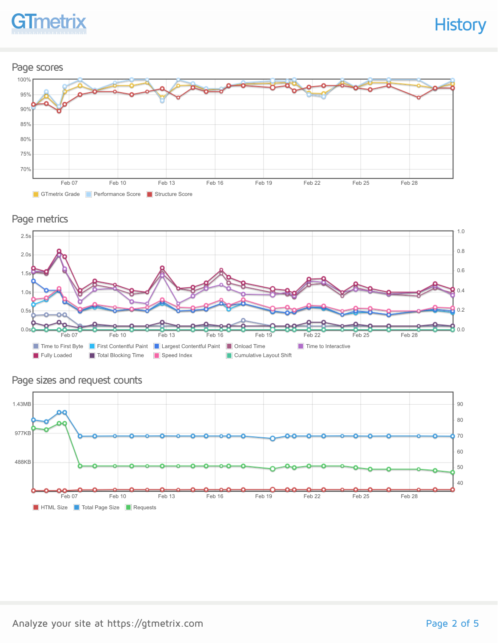

#### Page scores



Page metrics



#### **HTML Size** Total Page Size **Requests** Feb 07 Feb 10 Feb 13 Feb 16 Feb 19 Feb 22 Feb 25 Feb 28 488KB 977KB 1.43MB 40 50 60 70 80 90

Page sizes and request counts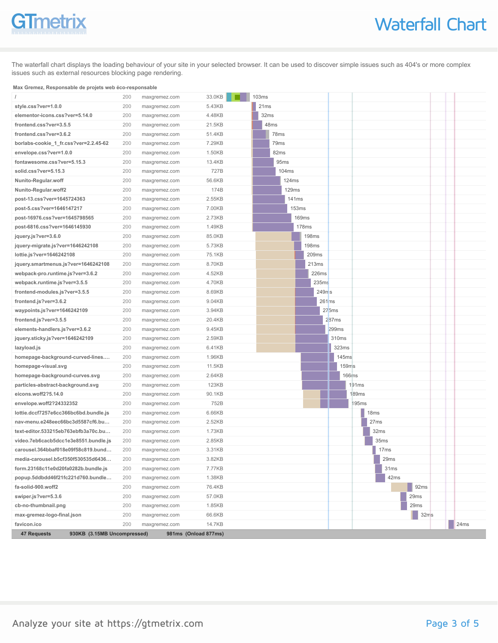# **GTmetrix**

The waterfall chart displays the loading behaviour of your site in your selected browser. It can be used to discover simple issues such as 404's or more complex issues such as external resources blocking page rendering.

#### **Max Gremez, Responsable de projets web éco-responsable**

|                                       |                             | 200 | maxgremez.com | 33.0KB               | 103ms             |              |                    |                  |           |      |
|---------------------------------------|-----------------------------|-----|---------------|----------------------|-------------------|--------------|--------------------|------------------|-----------|------|
| style.css?ver=1.0.0                   |                             | 200 | maxgremez.com | 5.43KB               | 21ms              |              |                    |                  |           |      |
| elementor-icons.css?ver=5.14.0        |                             | 200 | maxgremez.com | 4.48KB               | 32ms              |              |                    |                  |           |      |
| frontend.css?ver=3.5.5                |                             | 200 | maxgremez.com | 21.5KB               | 48ms              |              |                    |                  |           |      |
| frontend.css?ver=3.6.2                |                             | 200 | maxgremez.com | 51.4KB               | 78ms              |              |                    |                  |           |      |
| borlabs-cookie_1_fr.css?ver=2.2.45-62 |                             | 200 | maxgremez.com | 7.29KB               | 79 <sub>ms</sub>  |              |                    |                  |           |      |
| envelope.css?ver=1.0.0                |                             | 200 | maxgremez.com | 1.50KB               | 82ms              |              |                    |                  |           |      |
| fontawesome.css?ver=5.15.3            |                             | 200 | maxgremez.com | 13.4KB               | 95ms              |              |                    |                  |           |      |
| solid.css?ver=5.15.3                  |                             | 200 | maxgremez.com | 727B                 | 104ms             |              |                    |                  |           |      |
| Nunito-Regular.woff                   |                             | 200 | maxgremez.com | 56.6KB               | 124ms             |              |                    |                  |           |      |
| Nunito-Regular.woff2                  |                             | 200 | maxgremez.com | 174B                 | 129ms             |              |                    |                  |           |      |
| post-13.css?ver=1645724363            |                             | 200 | maxgremez.com | 2.55KB               | 141 <sub>ms</sub> |              |                    |                  |           |      |
| post-5.css?ver=1646147217             |                             | 200 | maxgremez.com | 7.00KB               |                   | 153ms        |                    |                  |           |      |
| post-16976.css?ver=1645798565         |                             | 200 | maxgremez.com | 2.73KB               |                   | <b>169ms</b> |                    |                  |           |      |
| post-6816.css?ver=1646145930          |                             | 200 | maxgremez.com | 1.49KB               |                   | 178ms        |                    |                  |           |      |
| jquery.js?ver=3.6.0                   |                             | 200 | maxgremez.com | 85.0KB               |                   | <b>198ms</b> |                    |                  |           |      |
| jquery-migrate.js?ver=1646242108      |                             | 200 | maxgremez.com | 5.73KB               |                   | <b>198ms</b> |                    |                  |           |      |
| lottie.js?ver=1646242108              |                             | 200 | maxgremez.com | 75.1KB               |                   | 209ms        |                    |                  |           |      |
| jquery.smartmenus.js?ver=1646242108   |                             | 200 | maxgremez.com | 8.70KB               |                   | 213ms        |                    |                  |           |      |
| webpack-pro.runtime.js?ver=3.6.2      |                             | 200 | maxgremez.com | 4.52KB               |                   | 226ms        |                    |                  |           |      |
| webpack.runtime.js?ver=3.5.5          |                             | 200 | maxgremez.com | 4.70KB               |                   | 235ms        |                    |                  |           |      |
| frontend-modules.js?ver=3.5.5         |                             | 200 | maxgremez.com | 8.69KB               |                   |              | $249n$ s           |                  |           |      |
| frontend.js?ver=3.6.2                 |                             | 200 | maxgremez.com | 9.04KB               |                   |              | 261ms              |                  |           |      |
| waypoints.js?ver=1646242109           |                             | 200 | maxgremez.com | 3.94KB               |                   |              | 275ms              |                  |           |      |
| frontend.js?ver=3.5.5                 |                             | 200 | maxgremez.com | 20.4KB               |                   |              | 2 <sub>87</sub> ms |                  |           |      |
| elements-handlers.js?ver=3.6.2        |                             | 200 | maxgremez.com | 9.45KB               |                   |              | 299ms              |                  |           |      |
| jquery.sticky.js?ver=1646242109       |                             | 200 | maxgremez.com | 2.59KB               |                   |              | 310ms              |                  |           |      |
| lazyload.js                           |                             | 200 | maxgremez.com | 6.41KB               |                   |              | 323ms              |                  |           |      |
| homepage-background-curved-lines      |                             | 200 | maxgremez.com | 1.96KB               |                   |              | 145ms              |                  |           |      |
| homepage-visual.svg                   |                             | 200 | maxgremez.com | 11.5KB               |                   |              | 159 <sub>ms</sub>  |                  |           |      |
| homepage-background-curves.svg        |                             | 200 | maxgremez.com | 2.64KB               |                   |              | <b>166ms</b>       |                  |           |      |
| particles-abstract-background.svg     |                             | 200 | maxgremez.com | <b>123KB</b>         |                   |              |                    | 191ms            |           |      |
| eicons.woff2?5.14.0                   |                             | 200 | maxgremez.com | 90.1KB               |                   |              |                    | 189ms            |           |      |
| envelope.woff2?24332352               |                             | 200 | maxgremez.com | 752B                 |                   |              |                    | 195ms            |           |      |
| lottie.dccf7257e6cc366bc6bd.bundle.js |                             | 200 | maxgremez.com | 6.66KB               |                   |              |                    | 18ms             |           |      |
| nav-menu.e248eec66bc3d5587cf6.bu      |                             | 200 | maxgremez.com | 2.52KB               |                   |              |                    | 27ms             |           |      |
| text-editor.533215eb763ebfb3a70c.bu   |                             | 200 | maxgremez.com | 1.73KB               |                   |              |                    | 32ms             |           |      |
| video.7eb6cacb5dcc1e3e8551.bundle.js  |                             | 200 | maxgremez.com | 2.85KB               |                   |              |                    | 35ms             |           |      |
| carousel.364bbaf018e09f58c819.bund    |                             | 200 | maxgremez.com | 3.31KB               |                   |              |                    | 17 <sub>ms</sub> |           |      |
| media-carousel.b5cf350f530535d6436    |                             | 200 | maxgremez.com | 3.82KB               |                   |              |                    | 29ms             |           |      |
| form.23168c11e0d20fa0282b.bundle.js   |                             | 200 | maxgremez.com | 7.77KB               |                   |              |                    | 31ms             |           |      |
| popup.5ddbdd46f21fc221d760.bundle     |                             | 200 | maxgremez.com | 1.38KB               |                   |              |                    | 42ms             |           |      |
| fa-solid-900.woff2                    |                             | 200 | maxgremez.com | 76.4KB               |                   |              |                    |                  | 92ms      |      |
| swiper.js?ver=5.3.6                   |                             | 200 | maxgremez.com | 57.0KB               |                   |              |                    |                  | 29ms      |      |
| cb-no-thumbnail.png                   |                             | 200 | maxgremez.com | 1.85KB               |                   |              |                    |                  | 29ms      |      |
| max-gremez-logo-final.json            |                             | 200 | maxgremez.com | 66.6KB               |                   |              |                    |                  | 32ms<br>ш |      |
| favicon.ico                           |                             | 200 | maxgremez.com | 14.7KB               |                   |              |                    |                  |           | 24ms |
| 47 Requests                           | 930KB (3.15MB Uncompressed) |     |               | 981ms (Onload 877ms) |                   |              |                    |                  |           |      |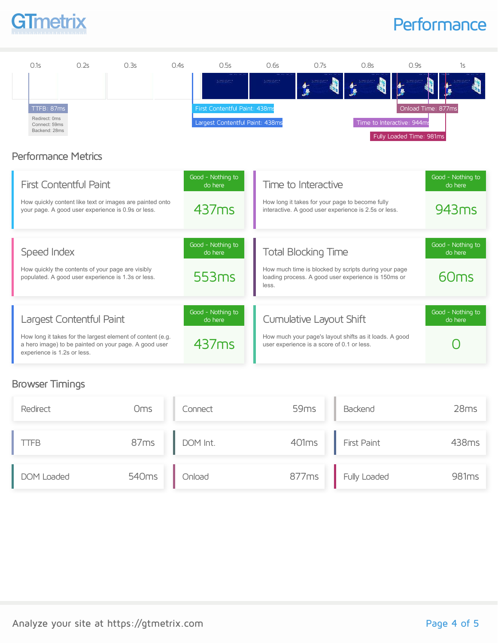# GTmetrix

## **Performance**



#### Browser Timings

| Redirect          | Oms               | Connect  | 59 <sub>ms</sub> | Backend                  | 28ms  |
|-------------------|-------------------|----------|------------------|--------------------------|-------|
| <b>ITFB</b>       | 87ms              | DOM Int. |                  | 401ms <b>First Paint</b> | 438ms |
| <b>DOM Loaded</b> | 540 <sub>ms</sub> | Onload   |                  | 877ms Fully Loaded       | 981ms |